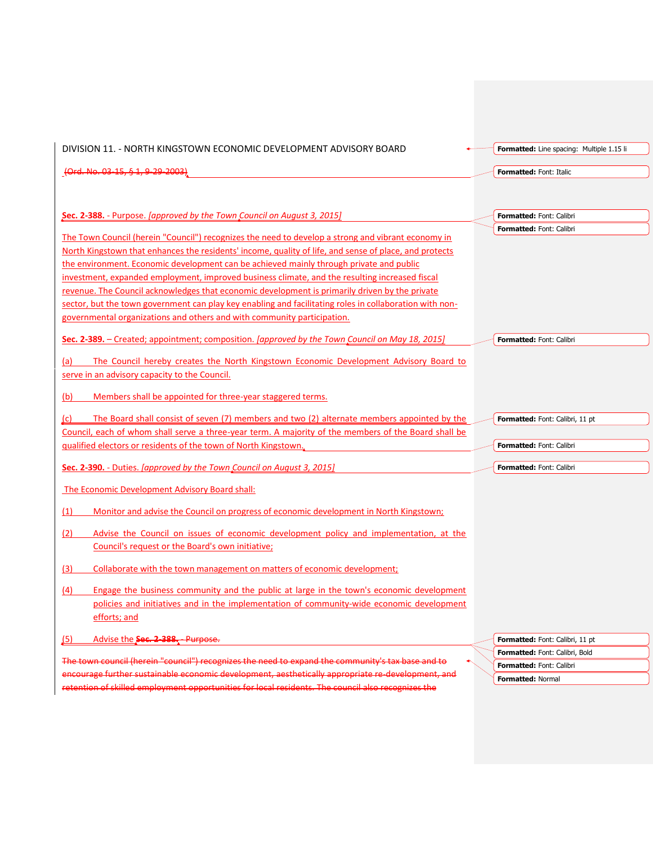| DIVISION 11. - NORTH KINGSTOWN ECONOMIC DEVELOPMENT ADVISORY BOARD                                                                                                                                      | <b>Formatted:</b> Line spacing: Multiple 1.15 li                                |
|---------------------------------------------------------------------------------------------------------------------------------------------------------------------------------------------------------|---------------------------------------------------------------------------------|
| (Ord. No. 03-15, § 1, 9-29-2003)                                                                                                                                                                        | Formatted: Font: Italic                                                         |
|                                                                                                                                                                                                         |                                                                                 |
|                                                                                                                                                                                                         |                                                                                 |
| Sec. 2-388. - Purpose. [approved by the Town Council on August 3, 2015]                                                                                                                                 | <b>Formatted: Font: Calibri</b>                                                 |
| The Town Council (herein "Council") recognizes the need to develop a strong and vibrant economy in                                                                                                      | <b>Formatted: Font: Calibri</b>                                                 |
| North Kingstown that enhances the residents' income, quality of life, and sense of place, and protects                                                                                                  |                                                                                 |
| the environment. Economic development can be achieved mainly through private and public                                                                                                                 |                                                                                 |
| investment, expanded employment, improved business climate, and the resulting increased fiscal                                                                                                          |                                                                                 |
| revenue. The Council acknowledges that economic development is primarily driven by the private                                                                                                          |                                                                                 |
| sector, but the town government can play key enabling and facilitating roles in collaboration with non-                                                                                                 |                                                                                 |
| governmental organizations and others and with community participation.                                                                                                                                 |                                                                                 |
| Sec. 2-389. – Created; appointment; composition. [approved by the Town Council on May 18, 2015]                                                                                                         | Formatted: Font: Calibri                                                        |
|                                                                                                                                                                                                         |                                                                                 |
| The Council hereby creates the North Kingstown Economic Development Advisory Board to<br>(a)                                                                                                            |                                                                                 |
| serve in an advisory capacity to the Council.                                                                                                                                                           |                                                                                 |
| Members shall be appointed for three-year staggered terms.<br>(b)                                                                                                                                       |                                                                                 |
| The Board shall consist of seven (7) members and two (2) alternate members appointed by the<br>(C)                                                                                                      | <b>Formatted:</b> Font: Calibri, 11 pt                                          |
|                                                                                                                                                                                                         |                                                                                 |
| Council, each of whom shall serve a three-year term. A majority of the members of the Board shall be                                                                                                    |                                                                                 |
| qualified electors or residents of the town of North Kingstown.                                                                                                                                         | Formatted: Font: Calibri                                                        |
|                                                                                                                                                                                                         |                                                                                 |
| Sec. 2-390. - Duties. [approved by the Town Council on August 3, 2015]                                                                                                                                  | <b>Formatted: Font: Calibri</b>                                                 |
| The Economic Development Advisory Board shall:                                                                                                                                                          |                                                                                 |
| (1)<br>Monitor and advise the Council on progress of economic development in North Kingstown;                                                                                                           |                                                                                 |
| Advise the Council on issues of economic development policy and implementation, at the<br>(2)                                                                                                           |                                                                                 |
| Council's request or the Board's own initiative;                                                                                                                                                        |                                                                                 |
| Collaborate with the town management on matters of economic development;<br>(3)                                                                                                                         |                                                                                 |
|                                                                                                                                                                                                         |                                                                                 |
| (4)<br>Engage the business community and the public at large in the town's economic development                                                                                                         |                                                                                 |
| policies and initiatives and in the implementation of community-wide economic development<br>efforts; and                                                                                               |                                                                                 |
| Advise the Sec. 2-388. - Purpose.<br>(5)                                                                                                                                                                |                                                                                 |
|                                                                                                                                                                                                         | <b>Formatted:</b> Font: Calibri, 11 pt<br><b>Formatted: Font: Calibri, Bold</b> |
| The town council (herein "council") recognizes the need to expand the community's tax base and to                                                                                                       | <b>Formatted: Font: Calibri</b>                                                 |
| encourage further sustainable economic development, aesthetically appropriate re-development, and<br>retention of skilled employment opportunities for local residents. The council also recognizes the | <b>Formatted: Normal</b>                                                        |